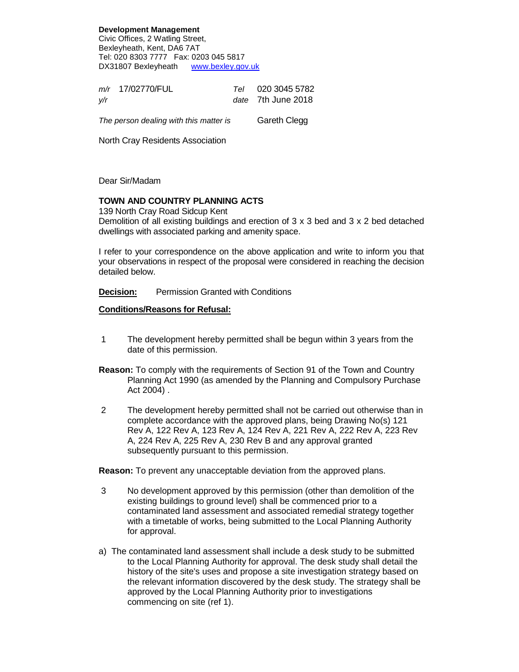**Development Management** Civic Offices, 2 Watling Street, Bexleyheath, Kent, DA6 7AT Tel: 020 8303 7777 Fax: 0203 045 5817 DX31807 Bexleyheath www.bexley.gov.uk

|     | m/r 17/02770/FUL | Tel 020 3045 5782  |
|-----|------------------|--------------------|
| v/r |                  | date 7th June 2018 |
|     |                  |                    |

The person dealing with this matter is Gareth Clegg

North Cray Residents Association

Dear Sir/Madam

## **TOWN AND COUNTRY PLANNING ACTS**

139 North Cray Road Sidcup Kent Demolition of all existing buildings and erection of  $3 \times 3$  bed and  $3 \times 2$  bed detached dwellings with associated parking and amenity space.

I refer to your correspondence on the above application and write to inform you that your observations in respect of the proposal were considered in reaching the decision detailed below.

**Decision:** Permission Granted with Conditions

## **Conditions/Reasons for Refusal:**

- 1 The development hereby permitted shall be begun within 3 years from the date of this permission.
- **Reason:** To comply with the requirements of Section 91 of the Town and Country Planning Act 1990 (as amended by the Planning and Compulsory Purchase Act 2004) .
- 2 The development hereby permitted shall not be carried out otherwise than in complete accordance with the approved plans, being Drawing No(s) 121 Rev A, 122 Rev A, 123 Rev A, 124 Rev A, 221 Rev A, 222 Rev A, 223 Rev A, 224 Rev A, 225 Rev A, 230 Rev B and any approval granted subsequently pursuant to this permission.

**Reason:** To prevent any unacceptable deviation from the approved plans.

- 3 No development approved by this permission (other than demolition of the existing buildings to ground level) shall be commenced prior to a contaminated land assessment and associated remedial strategy together with a timetable of works, being submitted to the Local Planning Authority for approval.
- a) The contaminated land assessment shall include a desk study to be submitted to the Local Planning Authority for approval. The desk study shall detail the history of the site's uses and propose a site investigation strategy based on the relevant information discovered by the desk study. The strategy shall be approved by the Local Planning Authority prior to investigations commencing on site (ref 1).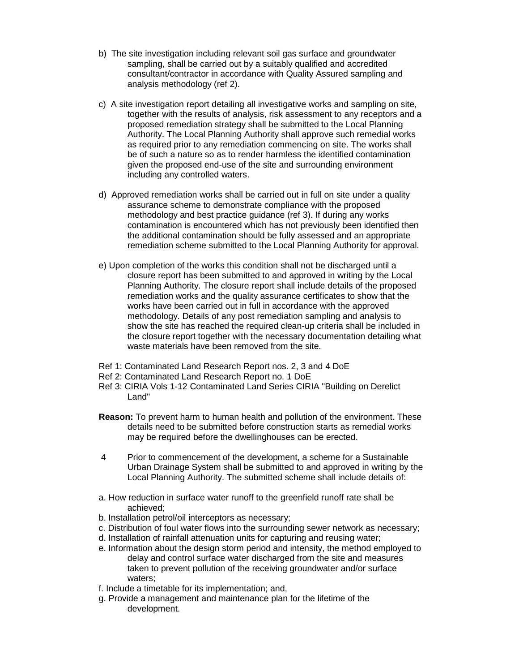- b) The site investigation including relevant soil gas surface and groundwater sampling, shall be carried out by a suitably qualified and accredited consultant/contractor in accordance with Quality Assured sampling and analysis methodology (ref 2).
- c) A site investigation report detailing all investigative works and sampling on site, together with the results of analysis, risk assessment to any receptors and a proposed remediation strategy shall be submitted to the Local Planning Authority. The Local Planning Authority shall approve such remedial works as required prior to any remediation commencing on site. The works shall be of such a nature so as to render harmless the identified contamination given the proposed end-use of the site and surrounding environment including any controlled waters.
- d) Approved remediation works shall be carried out in full on site under a quality assurance scheme to demonstrate compliance with the proposed methodology and best practice guidance (ref 3). If during any works contamination is encountered which has not previously been identified then the additional contamination should be fully assessed and an appropriate remediation scheme submitted to the Local Planning Authority for approval.
- e) Upon completion of the works this condition shall not be discharged until a closure report has been submitted to and approved in writing by the Local Planning Authority. The closure report shall include details of the proposed remediation works and the quality assurance certificates to show that the works have been carried out in full in accordance with the approved methodology. Details of any post remediation sampling and analysis to show the site has reached the required clean-up criteria shall be included in the closure report together with the necessary documentation detailing what waste materials have been removed from the site.
- Ref 1: Contaminated Land Research Report nos. 2, 3 and 4 DoE
- Ref 2: Contaminated Land Research Report no. 1 DoE
- Ref 3: CIRIA Vols 1-12 Contaminated Land Series CIRIA "Building on Derelict Land"
- **Reason:** To prevent harm to human health and pollution of the environment. These details need to be submitted before construction starts as remedial works may be required before the dwellinghouses can be erected.
- 4 Prior to commencement of the development, a scheme for a Sustainable Urban Drainage System shall be submitted to and approved in writing by the Local Planning Authority. The submitted scheme shall include details of:
- a. How reduction in surface water runoff to the greenfield runoff rate shall be achieved;
- b. Installation petrol/oil interceptors as necessary;
- c. Distribution of foul water flows into the surrounding sewer network as necessary;
- d. Installation of rainfall attenuation units for capturing and reusing water;
- e. Information about the design storm period and intensity, the method employed to delay and control surface water discharged from the site and measures taken to prevent pollution of the receiving groundwater and/or surface waters;
- f. Include a timetable for its implementation; and,
- g. Provide a management and maintenance plan for the lifetime of the development.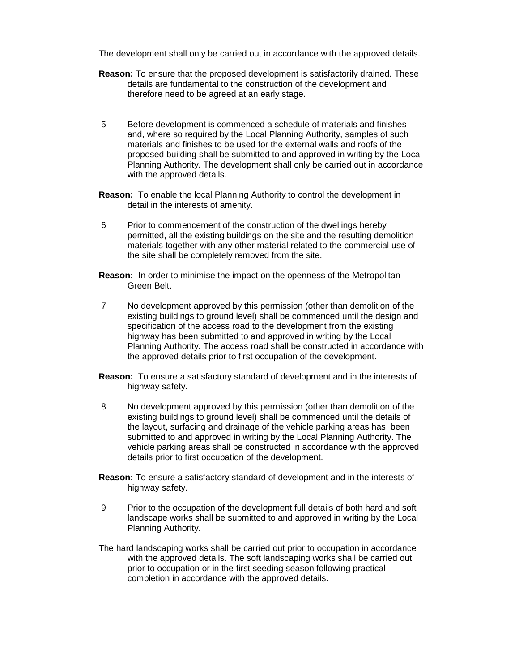The development shall only be carried out in accordance with the approved details.

- **Reason:** To ensure that the proposed development is satisfactorily drained. These details are fundamental to the construction of the development and therefore need to be agreed at an early stage.
- 5 Before development is commenced a schedule of materials and finishes and, where so required by the Local Planning Authority, samples of such materials and finishes to be used for the external walls and roofs of the proposed building shall be submitted to and approved in writing by the Local Planning Authority. The development shall only be carried out in accordance with the approved details.
- **Reason:** To enable the local Planning Authority to control the development in detail in the interests of amenity.
- 6 Prior to commencement of the construction of the dwellings hereby permitted, all the existing buildings on the site and the resulting demolition materials together with any other material related to the commercial use of the site shall be completely removed from the site.
- **Reason:** In order to minimise the impact on the openness of the Metropolitan Green Belt.
- 7 No development approved by this permission (other than demolition of the existing buildings to ground level) shall be commenced until the design and specification of the access road to the development from the existing highway has been submitted to and approved in writing by the Local Planning Authority. The access road shall be constructed in accordance with the approved details prior to first occupation of the development.
- **Reason:** To ensure a satisfactory standard of development and in the interests of highway safety.
- 8 No development approved by this permission (other than demolition of the existing buildings to ground level) shall be commenced until the details of the layout, surfacing and drainage of the vehicle parking areas has been submitted to and approved in writing by the Local Planning Authority. The vehicle parking areas shall be constructed in accordance with the approved details prior to first occupation of the development.
- **Reason:** To ensure a satisfactory standard of development and in the interests of highway safety.
- 9 Prior to the occupation of the development full details of both hard and soft landscape works shall be submitted to and approved in writing by the Local Planning Authority.
- The hard landscaping works shall be carried out prior to occupation in accordance with the approved details. The soft landscaping works shall be carried out prior to occupation or in the first seeding season following practical completion in accordance with the approved details.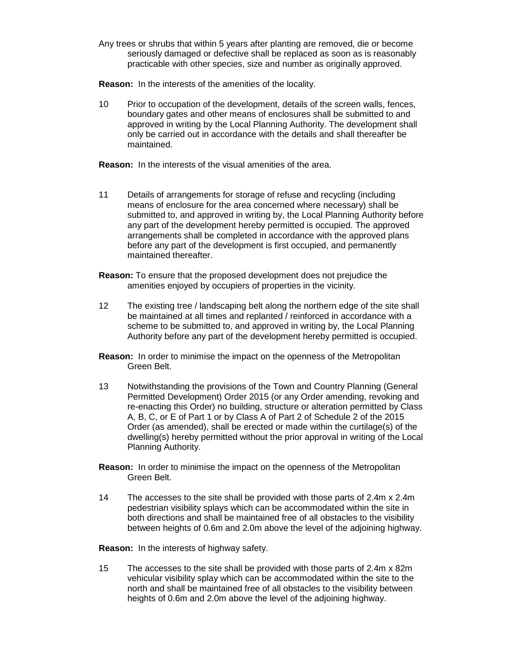Any trees or shrubs that within 5 years after planting are removed, die or become seriously damaged or defective shall be replaced as soon as is reasonably practicable with other species, size and number as originally approved.

**Reason:** In the interests of the amenities of the locality.

10 Prior to occupation of the development, details of the screen walls, fences, boundary gates and other means of enclosures shall be submitted to and approved in writing by the Local Planning Authority. The development shall only be carried out in accordance with the details and shall thereafter be maintained.

**Reason:** In the interests of the visual amenities of the area.

- 11 Details of arrangements for storage of refuse and recycling (including means of enclosure for the area concerned where necessary) shall be submitted to, and approved in writing by, the Local Planning Authority before any part of the development hereby permitted is occupied. The approved arrangements shall be completed in accordance with the approved plans before any part of the development is first occupied, and permanently maintained thereafter.
- **Reason:** To ensure that the proposed development does not prejudice the amenities enjoyed by occupiers of properties in the vicinity.
- 12 The existing tree / landscaping belt along the northern edge of the site shall be maintained at all times and replanted / reinforced in accordance with a scheme to be submitted to, and approved in writing by, the Local Planning Authority before any part of the development hereby permitted is occupied.
- **Reason:** In order to minimise the impact on the openness of the Metropolitan Green Belt.
- 13 Notwithstanding the provisions of the Town and Country Planning (General Permitted Development) Order 2015 (or any Order amending, revoking and re-enacting this Order) no building, structure or alteration permitted by Class A, B, C, or E of Part 1 or by Class A of Part 2 of Schedule 2 of the 2015 Order (as amended), shall be erected or made within the curtilage(s) of the dwelling(s) hereby permitted without the prior approval in writing of the Local Planning Authority.
- **Reason:** In order to minimise the impact on the openness of the Metropolitan Green Belt.
- 14 The accesses to the site shall be provided with those parts of 2.4m x 2.4m pedestrian visibility splays which can be accommodated within the site in both directions and shall be maintained free of all obstacles to the visibility between heights of 0.6m and 2.0m above the level of the adjoining highway.

**Reason:** In the interests of highway safety.

15 The accesses to the site shall be provided with those parts of 2.4m x 82m vehicular visibility splay which can be accommodated within the site to the north and shall be maintained free of all obstacles to the visibility between heights of 0.6m and 2.0m above the level of the adjoining highway.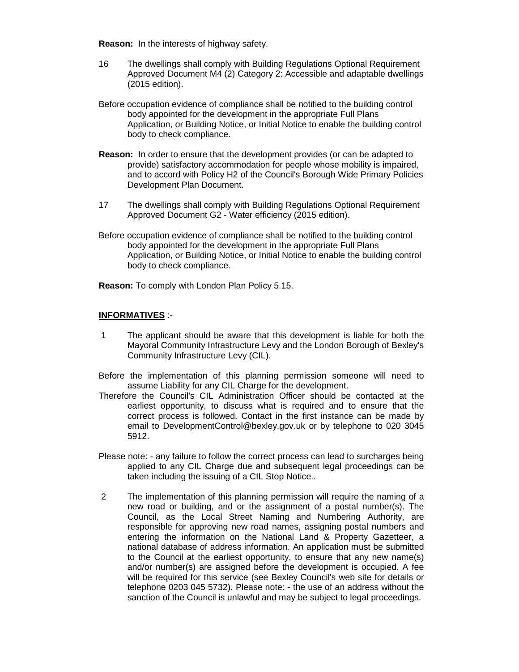**Reason:** In the interests of highway safety.

- 16 The dwellings shall comply with Building Regulations Optional Requirement Approved Document M4 (2) Category 2: Accessible and adaptable dwellings (2015 edition).
- Before occupation evidence of compliance shall be notified to the building control body appointed for the development in the appropriate Full Plans Application, or Building Notice, or Initial Notice to enable the building control body to check compliance.
- **Reason:** In order to ensure that the development provides (or can be adapted to provide) satisfactory accommodation for people whose mobility is impaired, and to accord with Policy H2 of the Council's Borough Wide Primary Policies Development Plan Document.
- 17 The dwellings shall comply with Building Regulations Optional Requirement Approved Document G2 - Water efficiency (2015 edition).
- Before occupation evidence of compliance shall be notified to the building control body appointed for the development in the appropriate Full Plans Application, or Building Notice, or Initial Notice to enable the building control body to check compliance.

**Reason:** To comply with London Plan Policy 5.15.

## **INFORMATIVES** :-

- 1 The applicant should be aware that this development is liable for both the Mayoral Community Infrastructure Levy and the London Borough of Bexley's Community Infrastructure Levy (CIL).
- Before the implementation of this planning permission someone will need to assume Liability for any CIL Charge for the development.
- Therefore the Council's CIL Administration Officer should be contacted at the earliest opportunity, to discuss what is required and to ensure that the correct process is followed. Contact in the first instance can be made by email to DevelopmentControl@bexley.gov.uk or by telephone to 020 3045 5912.
- Please note: any failure to follow the correct process can lead to surcharges being applied to any CIL Charge due and subsequent legal proceedings can be taken including the issuing of a CIL Stop Notice..
- 2 The implementation of this planning permission will require the naming of a new road or building, and or the assignment of a postal number(s). The Council, as the Local Street Naming and Numbering Authority, are responsible for approving new road names, assigning postal numbers and entering the information on the National Land & Property Gazetteer, a national database of address information. An application must be submitted to the Council at the earliest opportunity, to ensure that any new name(s) and/or number(s) are assigned before the development is occupied. A fee will be required for this service (see Bexley Council's web site for details or telephone 0203 045 5732). Please note: - the use of an address without the sanction of the Council is unlawful and may be subject to legal proceedings.